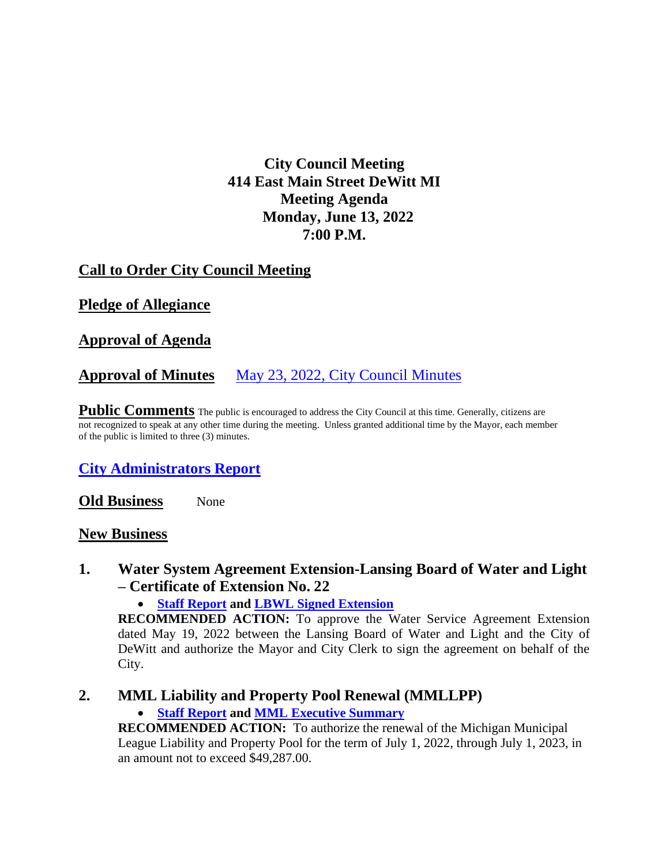# **City Council Meeting 414 East Main Street DeWitt MI Meeting Agenda Monday, June 13, 2022 7:00 P.M.**

# **Call to Order City Council Meeting**

## **Pledge of Allegiance**

### **Approval of Agenda**

## **Approval of Minutes** May 23, 2022, [City Council Minutes](https://drive.google.com/file/d/16r-Qkji0JjYbR0iMHvFjYt2GqapAFnTj/view?usp=sharing)

**Public Comments** The public is encouraged to address the City Council at this time. Generally, citizens are not recognized to speak at any other time during the meeting. Unless granted additional time by the Mayor, each member of the public is limited to three (3) minutes.

## **[City Administrators Report](https://drive.google.com/file/d/11SkuAT6F4ZVfgbtwqld9AJyMCpslhiWL/view?usp=sharing)**

**Old Business** None

#### **New Business**

### **1. Water System Agreement Extension-Lansing Board of Water and Light – Certificate of Extension No. 22**

• **[Staff Report](https://drive.google.com/file/d/1UjdAfe0o1bu7VEypUNPvQzj0nyk4dK4b/view?usp=sharing) and [LBWL Signed Extension](https://drive.google.com/file/d/1-DQJ0Kn4WWUCLAWzIAMUBkLIMKN85qqx/view?usp=sharing)**

**RECOMMENDED ACTION:** To approve the Water Service Agreement Extension dated May 19, 2022 between the Lansing Board of Water and Light and the City of DeWitt and authorize the Mayor and City Clerk to sign the agreement on behalf of the City.

### **2. MML Liability and Property Pool Renewal (MMLLPP)**

• **[Staff Report](https://drive.google.com/file/d/1vb7Y0ACjC8ee7pxFwefO6rq6TFcMV_gi/view?usp=sharing) and [MML Executive Summary](https://drive.google.com/file/d/1oCKwIrG2qMj7VC6r5Ky4pUs-eDliHstW/view?usp=sharing)**

**RECOMMENDED ACTION:** To authorize the renewal of the Michigan Municipal League Liability and Property Pool for the term of July 1, 2022, through July 1, 2023, in an amount not to exceed \$49,287.00.